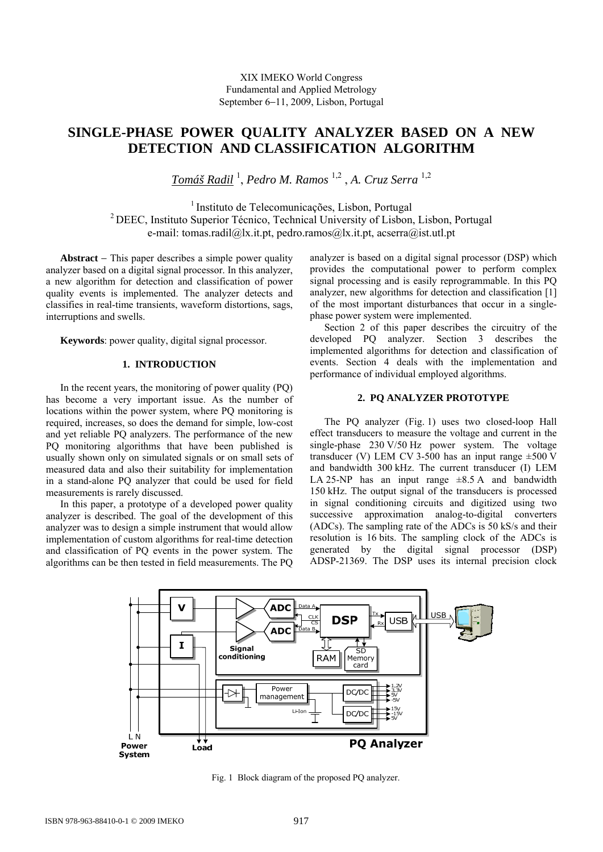# **SINGLE-PHASE POWER QUALITY ANALYZER BASED ON A NEW DETECTION AND CLASSIFICATION ALGORITHM**

*Tomáš Radil* <sup>1</sup> , *Pedro M. Ramos* 1,2 , *A. Cruz Serra* 1,2

1 Instituto de Telecomunicações, Lisbon, Portugal 2 DEEC, Instituto Superior Técnico, Technical University of Lisbon, Lisbon, Portugal e-mail: tomas.radil@lx.it.pt, pedro.ramos@lx.it.pt, acserra@ist.utl.pt

**Abstract** − This paper describes a simple power quality analyzer based on a digital signal processor. In this analyzer, a new algorithm for detection and classification of power quality events is implemented. The analyzer detects and classifies in real-time transients, waveform distortions, sags, interruptions and swells.

**Keywords**: power quality, digital signal processor.

# **1. INTRODUCTION**

In the recent years, the monitoring of power quality (PQ) has become a very important issue. As the number of locations within the power system, where PQ monitoring is required, increases, so does the demand for simple, low-cost and yet reliable PQ analyzers. The performance of the new PQ monitoring algorithms that have been published is usually shown only on simulated signals or on small sets of measured data and also their suitability for implementation in a stand-alone PQ analyzer that could be used for field measurements is rarely discussed.

In this paper, a prototype of a developed power quality analyzer is described. The goal of the development of this analyzer was to design a simple instrument that would allow implementation of custom algorithms for real-time detection and classification of PQ events in the power system. The algorithms can be then tested in field measurements. The PQ

analyzer is based on a digital signal processor (DSP) which provides the computational power to perform complex signal processing and is easily reprogrammable. In this PQ analyzer, new algorithms for detection and classification [1] of the most important disturbances that occur in a singlephase power system were implemented.

Section 2 of this paper describes the circuitry of the developed PQ analyzer. Section 3 describes the implemented algorithms for detection and classification of events. Section 4 deals with the implementation and performance of individual employed algorithms.

# **2. PQ ANALYZER PROTOTYPE**

The PQ analyzer (Fig. 1) uses two closed-loop Hall effect transducers to measure the voltage and current in the single-phase 230 V/50 Hz power system. The voltage transducer (V) LEM CV 3-500 has an input range  $\pm 500$  V and bandwidth 300 kHz. The current transducer (I) LEM LA 25-NP has an input range  $\pm 8.5$  A and bandwidth 150 kHz. The output signal of the transducers is processed in signal conditioning circuits and digitized using two successive approximation analog-to-digital converters (ADCs). The sampling rate of the ADCs is 50 kS/s and their resolution is 16 bits. The sampling clock of the ADCs is generated by the digital signal processor (DSP) ADSP-21369. The DSP uses its internal precision clock



Fig. 1 Block diagram of the proposed PQ analyzer.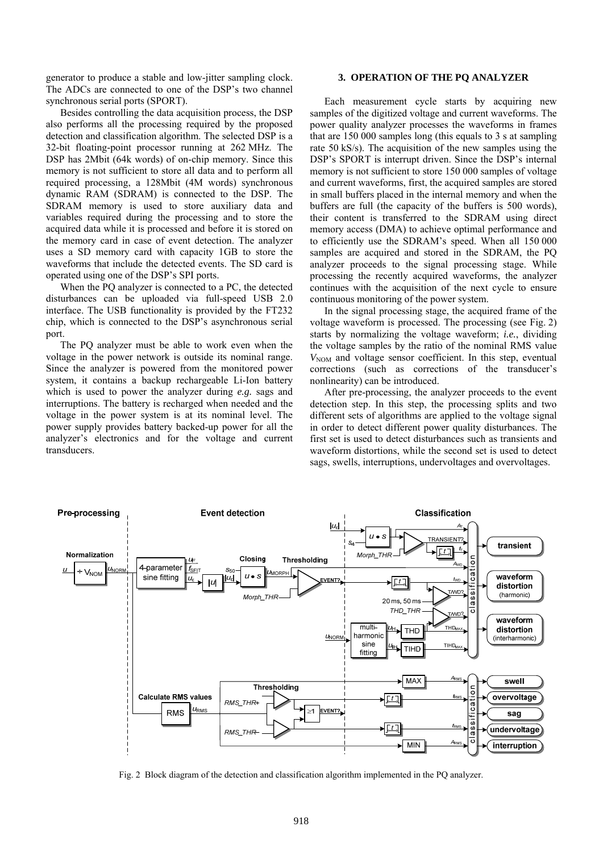generator to produce a stable and low-jitter sampling clock. The ADCs are connected to one of the DSP's two channel synchronous serial ports (SPORT).

Besides controlling the data acquisition process, the DSP also performs all the processing required by the proposed detection and classification algorithm. The selected DSP is a 32-bit floating-point processor running at 262 MHz. The DSP has 2Mbit (64k words) of on-chip memory. Since this memory is not sufficient to store all data and to perform all required processing, a 128Mbit (4M words) synchronous dynamic RAM (SDRAM) is connected to the DSP. The SDRAM memory is used to store auxiliary data and variables required during the processing and to store the acquired data while it is processed and before it is stored on the memory card in case of event detection. The analyzer uses a SD memory card with capacity 1GB to store the waveforms that include the detected events. The SD card is operated using one of the DSP's SPI ports.

When the PQ analyzer is connected to a PC, the detected disturbances can be uploaded via full-speed USB 2.0 interface. The USB functionality is provided by the FT232 chip, which is connected to the DSP's asynchronous serial port.

The PQ analyzer must be able to work even when the voltage in the power network is outside its nominal range. Since the analyzer is powered from the monitored power system, it contains a backup rechargeable Li-Ion battery which is used to power the analyzer during *e.g.* sags and interruptions. The battery is recharged when needed and the voltage in the power system is at its nominal level. The power supply provides battery backed-up power for all the analyzer's electronics and for the voltage and current transducers.

## **3. OPERATION OF THE PQ ANALYZER**

Each measurement cycle starts by acquiring new samples of the digitized voltage and current waveforms. The power quality analyzer processes the waveforms in frames that are 150 000 samples long (this equals to 3 s at sampling rate 50 kS/s). The acquisition of the new samples using the DSP's SPORT is interrupt driven. Since the DSP's internal memory is not sufficient to store 150 000 samples of voltage and current waveforms, first, the acquired samples are stored in small buffers placed in the internal memory and when the buffers are full (the capacity of the buffers is 500 words), their content is transferred to the SDRAM using direct memory access (DMA) to achieve optimal performance and to efficiently use the SDRAM's speed. When all 150 000 samples are acquired and stored in the SDRAM, the PQ analyzer proceeds to the signal processing stage. While processing the recently acquired waveforms, the analyzer continues with the acquisition of the next cycle to ensure continuous monitoring of the power system.

In the signal processing stage, the acquired frame of the voltage waveform is processed. The processing (see Fig. 2) starts by normalizing the voltage waveform; *i.e.*, dividing the voltage samples by the ratio of the nominal RMS value  $V_{\text{NOM}}$  and voltage sensor coefficient. In this step, eventual corrections (such as corrections of the transducer's nonlinearity) can be introduced.

After pre-processing, the analyzer proceeds to the event detection step. In this step, the processing splits and two different sets of algorithms are applied to the voltage signal in order to detect different power quality disturbances. The first set is used to detect disturbances such as transients and waveform distortions, while the second set is used to detect sags, swells, interruptions, undervoltages and overvoltages.



Fig. 2 Block diagram of the detection and classification algorithm implemented in the PQ analyzer.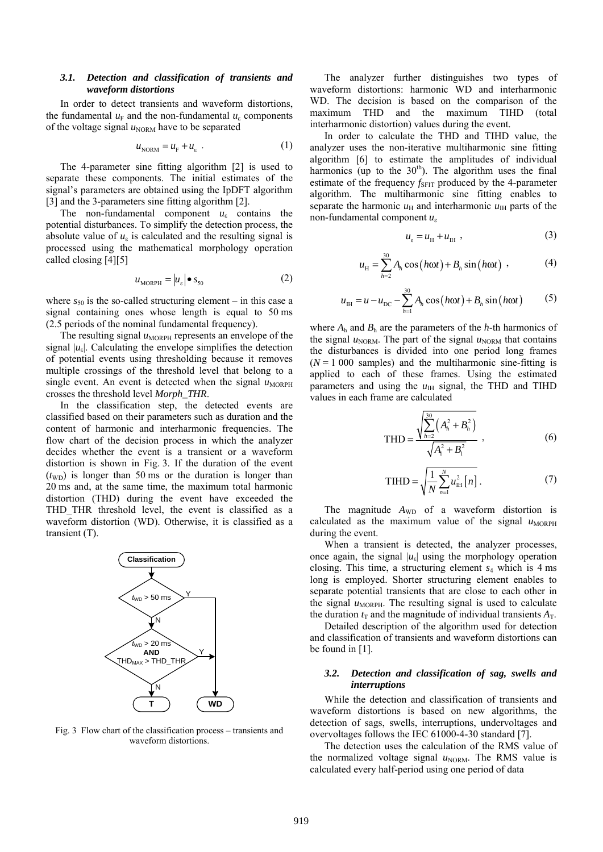### *3.1. Detection and classification of transients and waveform distortions*

In order to detect transients and waveform distortions, the fundamental  $u_F$  and the non-fundamental  $u_E$  components of the voltage signal  $u_{\text{NORM}}$  have to be separated

$$
u_{\text{NORM}} = u_{\text{F}} + u_{\varepsilon} \tag{1}
$$

The 4-parameter sine fitting algorithm [2] is used to separate these components. The initial estimates of the signal's parameters are obtained using the IpDFT algorithm [3] and the 3-parameters sine fitting algorithm [2].

The non-fundamental component  $u_{\varepsilon}$  contains the potential disturbances. To simplify the detection process, the absolute value of  $u_{\varepsilon}$  is calculated and the resulting signal is processed using the mathematical morphology operation called closing [4][5]

$$
u_{\text{MORPH}} = |u_{\varepsilon}| \bullet s_{50} \tag{2}
$$

where  $s_{50}$  is the so-called structuring element – in this case a signal containing ones whose length is equal to 50 ms (2.5 periods of the nominal fundamental frequency).

The resulting signal  $u_{MORPH}$  represents an envelope of the signal  $|u_{\varepsilon}|$ . Calculating the envelope simplifies the detection of potential events using thresholding because it removes multiple crossings of the threshold level that belong to a single event. An event is detected when the signal  $u_{MORPH}$ crosses the threshold level *Morph\_THR*.

In the classification step, the detected events are classified based on their parameters such as duration and the content of harmonic and interharmonic frequencies. The flow chart of the decision process in which the analyzer decides whether the event is a transient or a waveform distortion is shown in Fig. 3. If the duration of the event  $(t_{WD})$  is longer than 50 ms or the duration is longer than 20 ms and, at the same time, the maximum total harmonic distortion (THD) during the event have exceeded the THD THR threshold level, the event is classified as a waveform distortion (WD). Otherwise, it is classified as a transient (T).



Fig. 3 Flow chart of the classification process – transients and waveform distortions.

The analyzer further distinguishes two types of waveform distortions: harmonic WD and interharmonic WD. The decision is based on the comparison of the maximum THD and the maximum TIHD (total interharmonic distortion) values during the event.

In order to calculate the THD and TIHD value, the analyzer uses the non-iterative multiharmonic sine fitting algorithm [6] to estimate the amplitudes of individual harmonics (up to the  $30<sup>th</sup>$ ). The algorithm uses the final estimate of the frequency *f<sub>SFIT</sub>* produced by the 4-parameter algorithm. The multiharmonic sine fitting enables to separate the harmonic  $u_{\rm H}$  and interharmonic  $u_{\rm H}$  parts of the non-fundamental component *u*<sup>ε</sup>

$$
u_{\varepsilon} = u_{\rm H} + u_{\rm IH} \tag{3}
$$

$$
u_{\rm H} = \sum_{h=2}^{30} A_h \cos\left(h\omega t\right) + B_h \sin\left(h\omega t\right) \,,\tag{4}
$$

$$
u_{\text{IH}} = u - u_{\text{DC}} - \sum_{h=1}^{30} A_h \cos(h\omega t) + B_h \sin(h\omega t)
$$
 (5)

where  $A_h$  and  $B_h$  are the parameters of the *h*-th harmonics of the signal  $u_{\text{NORM}}$ . The part of the signal  $u_{\text{NORM}}$  that contains the disturbances is divided into one period long frames  $(N = 1000$  samples) and the multiharmonic sine-fitting is applied to each of these frames. Using the estimated parameters and using the  $u_{\text{IH}}$  signal, the THD and TIHD values in each frame are calculated

$$
\text{THD} = \frac{\sqrt{\sum_{h=2}^{30} (A_h^2 + B_h^2)}}{\sqrt{A_1^2 + B_1^2}} \,, \tag{6}
$$

$$
THID = \sqrt{\frac{1}{N} \sum_{n=1}^{N} u_{\text{IH}}^2 [n]}.
$$
 (7)

The magnitude  $A_{WD}$  of a waveform distortion is calculated as the maximum value of the signal  $u_{\text{MOPPH}}$ during the event.

When a transient is detected, the analyzer processes, once again, the signal  $|u_{\varepsilon}|$  using the morphology operation closing. This time, a structuring element *s*4 which is 4 ms long is employed. Shorter structuring element enables to separate potential transients that are close to each other in the signal  $u_{\text{MORPH}}$ . The resulting signal is used to calculate the duration  $t_T$  and the magnitude of individual transients  $A_T$ .

Detailed description of the algorithm used for detection and classification of transients and waveform distortions can be found in [1].

# *3.2. Detection and classification of sag, swells and interruptions*

While the detection and classification of transients and waveform distortions is based on new algorithms, the detection of sags, swells, interruptions, undervoltages and overvoltages follows the IEC 61000-4-30 standard [7].

The detection uses the calculation of the RMS value of the normalized voltage signal  $u_{\text{NORM}}$ . The RMS value is calculated every half-period using one period of data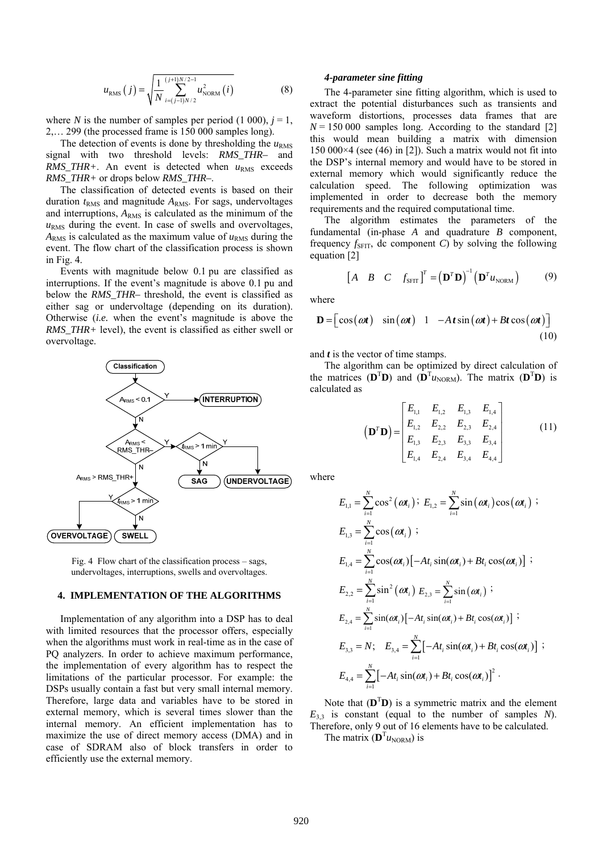$$
u_{RMS}(j) = \sqrt{\frac{1}{N} \sum_{i=(j-1)N/2}^{(j+1)N/2-1} u_{NORM}^2(i)}
$$
(8)

where *N* is the number of samples per period (1 000),  $j = 1$ , 2,… 299 (the processed frame is 150 000 samples long).

The detection of events is done by thresholding the  $u<sub>RMS</sub>$ signal with two threshold levels: *RMS\_THR–* and  $RMS\_THR+$ . An event is detected when  $u_{RMS}$  exceeds *RMS\_THR+* or drops below *RMS\_THR–*.

The classification of detected events is based on their duration *t*<sub>RMS</sub> and magnitude *A*<sub>RMS</sub>. For sags, undervoltages and interruptions,  $A_{RMS}$  is calculated as the minimum of the  $u<sub>RMS</sub>$  during the event. In case of swells and overvoltages,  $A_{RMS}$  is calculated as the maximum value of  $u_{RMS}$  during the event. The flow chart of the classification process is shown in Fig. 4.

Events with magnitude below 0.1 pu are classified as interruptions. If the event's magnitude is above 0.1 pu and below the *RMS* THR– threshold, the event is classified as either sag or undervoltage (depending on its duration). Otherwise (*i.e.* when the event's magnitude is above the *RMS THR*+ level), the event is classified as either swell or overvoltage.



Fig. 4 Flow chart of the classification process – sags, undervoltages, interruptions, swells and overvoltages.

### **4. IMPLEMENTATION OF THE ALGORITHMS**

Implementation of any algorithm into a DSP has to deal with limited resources that the processor offers, especially when the algorithms must work in real-time as in the case of PQ analyzers. In order to achieve maximum performance, the implementation of every algorithm has to respect the limitations of the particular processor. For example: the DSPs usually contain a fast but very small internal memory. Therefore, large data and variables have to be stored in external memory, which is several times slower than the internal memory. An efficient implementation has to maximize the use of direct memory access (DMA) and in case of SDRAM also of block transfers in order to efficiently use the external memory.

#### *4-parameter sine fitting*

The 4-parameter sine fitting algorithm, which is used to extract the potential disturbances such as transients and waveform distortions, processes data frames that are  $N = 150000$  samples long. According to the standard [2] this would mean building a matrix with dimension 150 000 $\times$ 4 (see (46) in [2]). Such a matrix would not fit into the DSP's internal memory and would have to be stored in external memory which would significantly reduce the calculation speed. The following optimization was implemented in order to decrease both the memory requirements and the required computational time.

The algorithm estimates the parameters of the fundamental (in-phase *A* and quadrature *B* component, frequency  $f_{\text{SFIT}}$ , dc component *C*) by solving the following equation [2]

$$
\begin{bmatrix} A & B & C & f_{\text{SFT}} \end{bmatrix}^T = \left( \mathbf{D}^T \mathbf{D} \right)^{-1} \left( \mathbf{D}^T u_{\text{NORM}} \right) \tag{9}
$$

where

$$
\mathbf{D} = \begin{bmatrix} \cos(\omega t) & \sin(\omega t) & 1 & -At\sin(\omega t) + Bt\cos(\omega t) \end{bmatrix}
$$
(10)

and *t* is the vector of time stamps.

The algorithm can be optimized by direct calculation of the matrices  $(D^T D)$  and  $(D^T u_{NORM})$ . The matrix  $(D^T D)$  is calculated as

$$
\left(\mathbf{D}^T\mathbf{D}\right) = \begin{bmatrix} E_{1,1} & E_{1,2} & E_{1,3} & E_{1,4} \\ E_{1,2} & E_{2,2} & E_{2,3} & E_{2,4} \\ E_{1,3} & E_{2,3} & E_{3,3} & E_{3,4} \\ E_{1,4} & E_{2,4} & E_{3,4} & E_{4,4} \end{bmatrix}
$$
(11)

where

$$
E_{1,1} = \sum_{i=1}^{N} \cos^{2}(\omega t_{i}) \, ; \, E_{1,2} = \sum_{i=1}^{N} \sin(\omega t_{i}) \cos(\omega t_{i}) \, ;
$$
\n
$$
E_{1,3} = \sum_{i=1}^{N} \cos(\omega t_{i}) \, ;
$$
\n
$$
E_{1,4} = \sum_{i=1}^{N} \cos(\omega t_{i}) [-At_{i} \sin(\omega t_{i}) + Bt_{i} \cos(\omega t_{i})] \, ;
$$
\n
$$
E_{2,2} = \sum_{i=1}^{N} \sin^{2}(\omega t_{i}) E_{2,3} = \sum_{i=1}^{N} \sin(\omega t_{i}) \, ;
$$
\n
$$
E_{2,4} = \sum_{i=1}^{N} \sin(\omega t_{i}) [-At_{i} \sin(\omega t_{i}) + Bt_{i} \cos(\omega t_{i})] \, ;
$$
\n
$$
E_{3,3} = N; \quad E_{3,4} = \sum_{i=1}^{N} [-At_{i} \sin(\omega t_{i}) + Bt_{i} \cos(\omega t_{i})] \, ;
$$
\n
$$
E_{4,4} = \sum_{i=1}^{N} [-At_{i} \sin(\omega t_{i}) + Bt_{i} \cos(\omega t_{i})]^{2} \, .
$$

Note that  $(D^T D)$  is a symmetric matrix and the element  $E_{33}$  is constant (equal to the number of samples *N*). Therefore, only 9 out of 16 elements have to be calculated.

The matrix  $(D^Tu_{NORM})$  is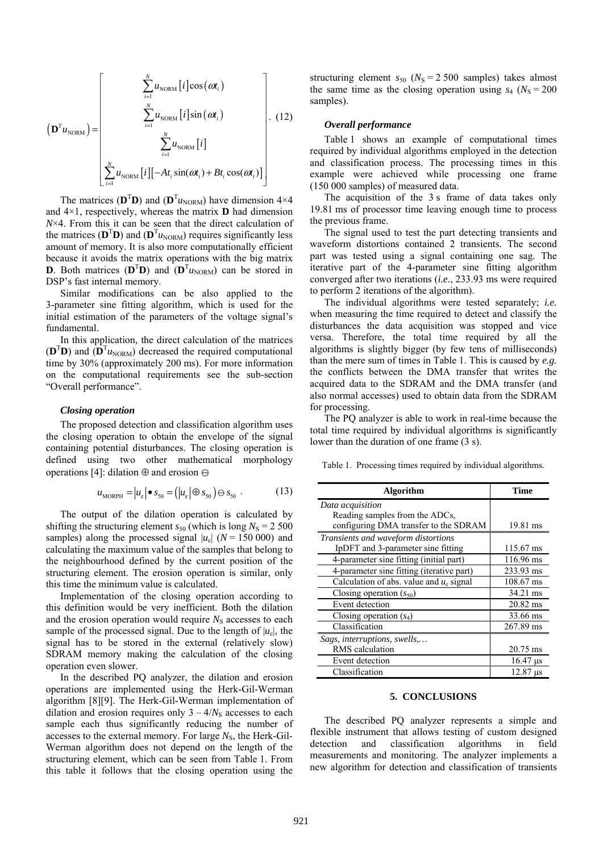$$
\left(\mathbf{D}^{T} u_{\text{NORM}}\right) = \begin{bmatrix} \sum_{i=1}^{N} u_{\text{NORM}}[i] \cos(\omega t_{i}) \\ \sum_{i=1}^{N} u_{\text{NORM}}[i] \sin(\omega t_{i}) \\ \sum_{i=1}^{N} u_{\text{NORM}}[i] \\ \sum_{i=1}^{N} u_{\text{NORM}}[i] [-At_{i} \sin(\omega t_{i}) + Bt_{i} \cos(\omega t_{i})] \end{bmatrix}.
$$
 (12)

The matrices ( $\mathbf{D}^T \mathbf{D}$ ) and ( $\mathbf{D}^T u_{\text{NORM}}$ ) have dimension 4×4 and 4×1, respectively, whereas the matrix **D** had dimension *N*×4. From this it can be seen that the direct calculation of the matrices  $(D^T D)$  and  $(D^T u_{NORM})$  requires significantly less amount of memory. It is also more computationally efficient because it avoids the matrix operations with the big matrix **D**. Both matrices  $(D^T D)$  and  $(D^T u_{NORM})$  can be stored in DSP's fast internal memory.

Similar modifications can be also applied to the 3-parameter sine fitting algorithm, which is used for the initial estimation of the parameters of the voltage signal's fundamental.

In this application, the direct calculation of the matrices  $(D^T D)$  and  $(D^T u_{NORM})$  decreased the required computational time by 30% (approximately 200 ms). For more information on the computational requirements see the sub-section "Overall performance".

#### *Closing operation*

=

The proposed detection and classification algorithm uses the closing operation to obtain the envelope of the signal containing potential disturbances. The closing operation is defined using two other mathematical morphology operations [4]: dilation  $\oplus$  and erosion  $\ominus$ 

$$
u_{\text{MORPH}} = |u_{\varepsilon}| \bullet s_{50} = (|u_{\varepsilon}| \oplus s_{50}) \ominus s_{50} . \tag{13}
$$

The output of the dilation operation is calculated by shifting the structuring element  $s_{50}$  (which is long  $N_s = 2500$ samples) along the processed signal  $|u_{\varepsilon}|$  ( $N = 150,000$ ) and calculating the maximum value of the samples that belong to the neighbourhood defined by the current position of the structuring element. The erosion operation is similar, only this time the minimum value is calculated.

Implementation of the closing operation according to this definition would be very inefficient. Both the dilation and the erosion operation would require  $N<sub>S</sub>$  accesses to each sample of the processed signal. Due to the length of  $|u_{\varepsilon}|$ , the signal has to be stored in the external (relatively slow) SDRAM memory making the calculation of the closing operation even slower.

In the described PQ analyzer, the dilation and erosion operations are implemented using the Herk-Gil-Werman algorithm [8][9]. The Herk-Gil-Werman implementation of dilation and erosion requires only  $3 - 4/N<sub>S</sub>$  accesses to each sample each thus significantly reducing the number of accesses to the external memory. For large  $N<sub>S</sub>$ , the Herk-Gil-Werman algorithm does not depend on the length of the structuring element, which can be seen from Table 1. From this table it follows that the closing operation using the

structuring element  $s_{50}$  ( $N_s = 2500$  samples) takes almost the same time as the closing operation using  $s_4$  ( $N_s = 200$ ) samples).

# *Overall performance*

Table 1 shows an example of computational times required by individual algorithms employed in the detection and classification process. The processing times in this example were achieved while processing one frame (150 000 samples) of measured data.

The acquisition of the 3 s frame of data takes only 19.81 ms of processor time leaving enough time to process the previous frame.

The signal used to test the part detecting transients and waveform distortions contained 2 transients. The second part was tested using a signal containing one sag. The iterative part of the 4-parameter sine fitting algorithm converged after two iterations (*i.e.*, 233.93 ms were required to perform 2 iterations of the algorithm).

The individual algorithms were tested separately; *i.e.* when measuring the time required to detect and classify the disturbances the data acquisition was stopped and vice versa. Therefore, the total time required by all the algorithms is slightly bigger (by few tens of milliseconds) than the mere sum of times in Table 1. This is caused by *e.g.* the conflicts between the DMA transfer that writes the acquired data to the SDRAM and the DMA transfer (and also normal accesses) used to obtain data from the SDRAM for processing.

The PQ analyzer is able to work in real-time because the total time required by individual algorithms is significantly lower than the duration of one frame (3 s).

Table 1. Processing times required by individual algorithms.

| <b>Algorithm</b>                                       | <b>Time</b> |
|--------------------------------------------------------|-------------|
| Data acquisition                                       |             |
| Reading samples from the ADCs,                         |             |
| configuring DMA transfer to the SDRAM                  | 19.81 ms    |
| Transients and waveform distortions                    |             |
| IpDFT and 3-parameter sine fitting                     | 115.67 ms   |
| 4-parameter sine fitting (initial part)                | 116.96 ms   |
| 4-parameter sine fitting (iterative part)              | 233.93 ms   |
| Calculation of abs. value and $u_{\varepsilon}$ signal | 108.67 ms   |
| Closing operation $(s_{50})$                           | 34.21 ms    |
| Event detection                                        | $20.82$ ms  |
| Closing operation $(s_4)$                              | 33.66 ms    |
| Classification                                         | 267.89 ms   |
| Sags, interruptions, swells,                           |             |
| RMS calculation                                        | $20.75$ ms  |
| Event detection                                        | $16.47$ us  |
| Classification                                         | $12.87$ us  |

#### **5. CONCLUSIONS**

The described PQ analyzer represents a simple and flexible instrument that allows testing of custom designed detection and classification algorithms in field measurements and monitoring. The analyzer implements a new algorithm for detection and classification of transients